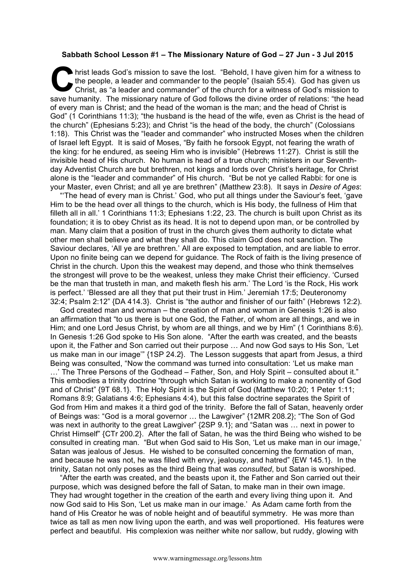## **Sabbath School Lesson #1 – The Missionary Nature of God – 27 Jun - 3 Jul 2015**

hrist leads God's mission to save the lost. "Behold, I have given him for a witness to the people, a leader and commander to the people" (Isaiah 55:4). God has given us Christ, as "a leader and commander" of the church for a witness of God's mission to save humanity. The missionary nature of God follows the divine order of relations: "the head of every man is Christ; and the head of the woman is the man; and the head of Christ is God" (1 Corinthians 11:3); "the husband is the head of the wife, even as Christ is the head of the church" (Ephesians 5:23); and Christ "is the head of the body, the church" (Colossians 1:18). This Christ was the "leader and commander" who instructed Moses when the children of Israel left Egypt. It is said of Moses, "By faith he forsook Egypt, not fearing the wrath of the king: for he endured, as seeing Him who is invisible" (Hebrews 11:27). Christ is still the invisible head of His church. No human is head of a true church; ministers in our Seventhday Adventist Church are but brethren, not kings and lords over Christ's heritage, for Christ alone is the "leader and commander" of His church. "But be not ye called Rabbi: for one is your Master, even Christ; and all ye are brethren" (Matthew 23:8). It says in *Desire of Ages*: C the

"'The head of every man is Christ.' God, who put all things under the Saviour's feet, 'gave Him to be the head over all things to the church, which is His body, the fullness of Him that filleth all in all.' 1 Corinthians 11:3; Ephesians 1:22, 23. The church is built upon Christ as its foundation; it is to obey Christ as its head. It is not to depend upon man, or be controlled by man. Many claim that a position of trust in the church gives them authority to dictate what other men shall believe and what they shall do. This claim God does not sanction. The Saviour declares, 'All ye are brethren.' All are exposed to temptation, and are liable to error. Upon no finite being can we depend for guidance. The Rock of faith is the living presence of Christ in the church. Upon this the weakest may depend, and those who think themselves the strongest will prove to be the weakest, unless they make Christ their efficiency. 'Cursed be the man that trusteth in man, and maketh flesh his arm.' The Lord 'is the Rock, His work is perfect.' 'Blessed are all they that put their trust in Him.' Jeremiah 17:5; Deuteronomy 32:4; Psalm 2:12" {DA 414.3}. Christ is "the author and finisher of our faith" (Hebrews 12:2).

God created man and woman – the creation of man and woman in Genesis 1:26 is also an affirmation that "to us there is but one God, the Father, of whom are all things, and we in Him; and one Lord Jesus Christ, by whom are all things, and we by Him" (1 Corinthians 8:6). In Genesis 1:26 God spoke to His Son alone. "After the earth was created, and the beasts upon it, the Father and Son carried out their purpose … And now God says to His Son, 'Let us make man in our image'" {1SP 24.2}. The Lesson suggests that apart from Jesus, a third Being was consulted, "Now the command was turned into consultation: 'Let us make man …' The Three Persons of the Godhead – Father, Son, and Holy Spirit – consulted about it." This embodies a trinity doctrine "through which Satan is working to make a nonentity of God and of Christ" {9T 68.1}. The Holy Spirit is the Spirit of God (Matthew 10:20; 1 Peter 1:11; Romans 8:9; Galatians 4:6; Ephesians 4:4), but this false doctrine separates the Spirit of God from Him and makes it a third god of the trinity. Before the fall of Satan, heavenly order of Beings was: "God is a moral governor … the Lawgiver" {12MR 208.2}; "The Son of God was next in authority to the great Lawgiver"  $\{2SP 9.1\}$ ; and "Satan was ... next in power to Christ Himself" {CTr 200.2}. After the fall of Satan, he was the third Being who wished to be consulted in creating man. "But when God said to His Son, 'Let us make man in our image,' Satan was jealous of Jesus. He wished to be consulted concerning the formation of man, and because he was not, he was filled with envy, jealousy, and hatred" {EW 145.1}. In the trinity, Satan not only poses as the third Being that was *consulted*, but Satan is worshiped.

"After the earth was created, and the beasts upon it, the Father and Son carried out their purpose, which was designed before the fall of Satan, to make man in their own image. They had wrought together in the creation of the earth and every living thing upon it. And now God said to His Son, 'Let us make man in our image.' As Adam came forth from the hand of His Creator he was of noble height and of beautiful symmetry. He was more than twice as tall as men now living upon the earth, and was well proportioned. His features were perfect and beautiful. His complexion was neither white nor sallow, but ruddy, glowing with